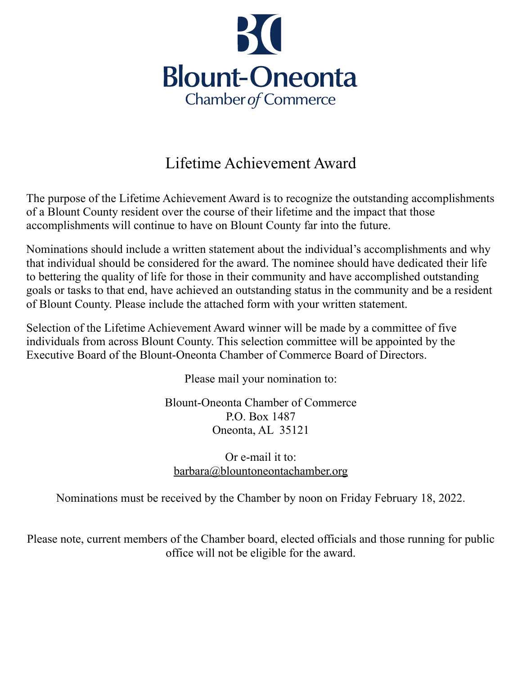

## Lifetime Achievement Award

The purpose of the Lifetime Achievement Award is to recognize the outstanding accomplishments of a Blount County resident over the course of their lifetime and the impact that those accomplishments will continue to have on Blount County far into the future.

Nominations should include a written statement about the individual's accomplishments and why that individual should be considered for the award. The nominee should have dedicated their life to bettering the quality of life for those in their community and have accomplished outstanding goals or tasks to that end, have achieved an outstanding status in the community and be a resident of Blount County. Please include the attached form with your written statement.

Selection of the Lifetime Achievement Award winner will be made by a committee of five individuals from across Blount County. This selection committee will be appointed by the Executive Board of the Blount-Oneonta Chamber of Commerce Board of Directors.

Please mail your nomination to:

Blount-Oneonta Chamber of Commerce P.O. Box 1487 Oneonta, AL 35121

Or e-mail it to: [barbara@blountoneontachamber.org](mailto:barbara@blountoneontachamber.org)

Nominations must be received by the Chamber by noon on Friday February 18, 2022.

Please note, current members of the Chamber board, elected officials and those running for public office will not be eligible for the award.